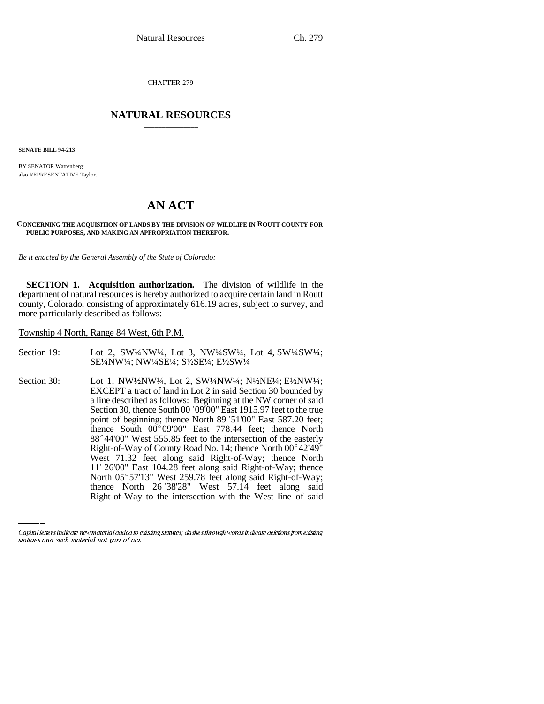CHAPTER 279

# \_\_\_\_\_\_\_\_\_\_\_\_\_\_\_ **NATURAL RESOURCES** \_\_\_\_\_\_\_\_\_\_\_\_\_\_\_

**SENATE BILL 94-213**

BY SENATOR Wattenberg; also REPRESENTATIVE Taylor.

# **AN ACT**

#### **CONCERNING THE ACQUISITION OF LANDS BY THE DIVISION OF WILDLIFE IN ROUTT COUNTY FOR PUBLIC PURPOSES, AND MAKING AN APPROPRIATION THEREFOR.**

*Be it enacted by the General Assembly of the State of Colorado:*

**SECTION 1. Acquisition authorization.** The division of wildlife in the department of natural resources is hereby authorized to acquire certain land in Routt county, Colorado, consisting of approximately 616.19 acres, subject to survey, and more particularly described as follows:

Township 4 North, Range 84 West, 6th P.M.

Section 19: Lot 2, SW1/4NW1/4, Lot 3, NW1/4SW1/4, Lot 4, SW1/4SW1/4; SE¼NW¼; NW¼SE¼; S½SE¼; E½SW¼

Section 30: Lot 1, NW½NW¼, Lot 2, SW½NW¼; N½NE¼; E½NW¼; EXCEPT a tract of land in Lot 2 in said Section 30 bounded by a line described as follows: Beginning at the NW corner of said EXCEPT a tract of land in Lot 2 in said Section 30 bounded by<br>a line described as follows: Beginning at the NW corner of said<br>Section 30, thence South 00°09'00" East 1915.97 feet to the true a line described as follows: Beginning at the NW corner of said<br>Section 30, thence South 00°09'00" East 1915.97 feet to the true<br>point of beginning; thence North 89°51'00" East 587.20 feet; Section 30, thence South 00 $^{\circ}$  09'00" East 1915.97 feet to the true point of beginning; thence North 89 $^{\circ}$  51'00" East 587.20 feet; thence South 00 $^{\circ}$ 09'00" East 778.44 feet; thence North point of beginning; thence North 89°51'00" East 587.20 feet;<br>thence South 00°09'00" East 778.44 feet; thence North<br>88°44'00" West 555.85 feet to the intersection of the easterly thence South 00°09'00" East 778.44 feet; thence North 88°44'00" West 555.85 feet to the intersection of the easterly Right-of-Way of County Road No. 14; thence North 00°42'49" West 71.32 feet along said Right-of-Way; thence North Right-of-Way of County Road No. 14; thence North 00°42'49"<br>West 71.32 feet along said Right-of-Way; thence North<br>11°26'00" East 104.28 feet along said Right-of-Way; thence West 71.32 feet along said Right-of-Way; thence North<br>11°26'00" East 104.28 feet along said Right-of-Way; thence<br>North 05°57'13" West 259.78 feet along said Right-of-Way; 11°26'00" East 104.28 feet along said Right-of-Way; thence<br>North 05°57'13" West 259.78 feet along said Right-of-Way;<br>thence North 26°38'28" West 57.14 feet along said Right-of-Way to the intersection with the West line of said

Capital letters indicate new material added to existing statutes; dashes through words indicate deletions from existing statutes and such material not part of act.